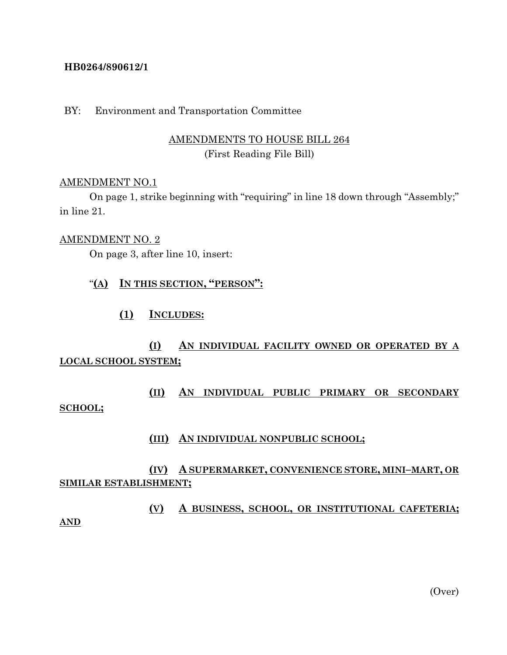### **HB0264/890612/1**

### BY: Environment and Transportation Committee

## AMENDMENTS TO HOUSE BILL 264 (First Reading File Bill)

#### AMENDMENT NO.1

On page 1, strike beginning with "requiring" in line 18 down through "Assembly;" in line 21.

#### AMENDMENT NO. 2

On page 3, after line 10, insert:

## "**(A) IN THIS SECTION, "PERSON":**

### **(1) INCLUDES:**

# **(I) AN INDIVIDUAL FACILITY OWNED OR OPERATED BY A LOCAL SCHOOL SYSTEM;**

# **(II) AN INDIVIDUAL PUBLIC PRIMARY OR SECONDARY SCHOOL;**

#### **(III) AN INDIVIDUAL NONPUBLIC SCHOOL;**

## **(IV) A SUPERMARKET, CONVENIENCE STORE, MINI–MART, OR SIMILAR ESTABLISHMENT;**

**(V) A BUSINESS, SCHOOL, OR INSTITUTIONAL CAFETERIA;**

**AND**

(Over)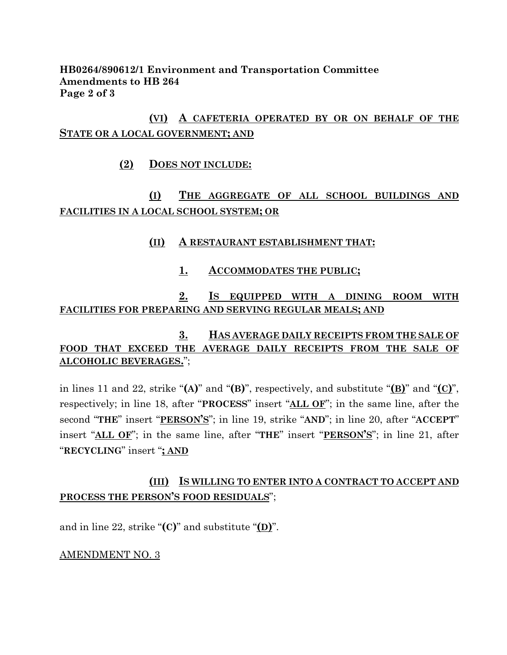**HB0264/890612/1 Environment and Transportation Committee Amendments to HB 264 Page 2 of 3**

# **(VI) A CAFETERIA OPERATED BY OR ON BEHALF OF THE STATE OR A LOCAL GOVERNMENT; AND**

## **(2) DOES NOT INCLUDE:**

# **(I) THE AGGREGATE OF ALL SCHOOL BUILDINGS AND FACILITIES IN A LOCAL SCHOOL SYSTEM; OR**

## **(II) A RESTAURANT ESTABLISHMENT THAT:**

### **1. ACCOMMODATES THE PUBLIC;**

## **2. IS EQUIPPED WITH A DINING ROOM WITH FACILITIES FOR PREPARING AND SERVING REGULAR MEALS; AND**

# **3. HAS AVERAGE DAILY RECEIPTS FROM THE SALE OF FOOD THAT EXCEED THE AVERAGE DAILY RECEIPTS FROM THE SALE OF ALCOHOLIC BEVERAGES.**";

in lines 11 and 22, strike "**(A)**" and "**(B)**", respectively, and substitute "**(B)**" and "**(C)**", respectively; in line 18, after "**PROCESS**" insert "**ALL OF**"; in the same line, after the second "**THE**" insert "**PERSON'S**"; in line 19, strike "**AND**"; in line 20, after "**ACCEPT**" insert "**ALL OF**"; in the same line, after "**THE**" insert "**PERSON'S**"; in line 21, after "**RECYCLING**" insert "**; AND**

# **(III) IS WILLING TO ENTER INTO A CONTRACT TO ACCEPT AND PROCESS THE PERSON'S FOOD RESIDUALS**";

and in line 22, strike " $(C)$ " and substitute " $(D)$ ".

#### AMENDMENT NO. 3